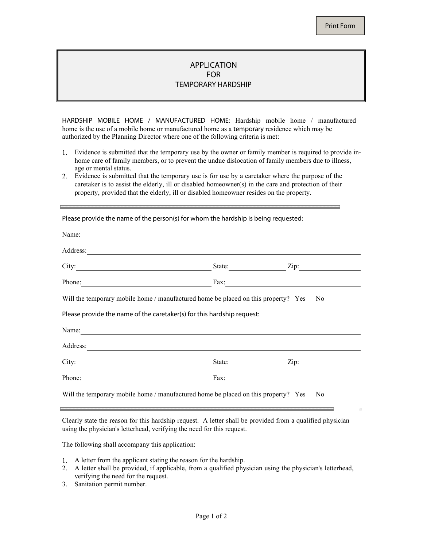## APPLICATION FOR TEMPORARY HARDSHIP

HARDSHIP MOBILE HOME / MANUFACTURED HOME: Hardship mobile home / manufactured home is the use of a mobile home or manufactured home as a temporary residence which may be authorized by the Planning Director where one of the following criteria is met:

- 1. Evidence is submitted that the temporary use by the owner or family member is required to provide inhome care of family members, or to prevent the undue dislocation of family members due to illness, age or mental status.
- 2. Evidence is submitted that the temporary use is for use by a caretaker where the purpose of the caretaker is to assist the elderly, ill or disabled homeowner(s) in the care and protection of their property, provided that the elderly, ill or disabled homeowner resides on the property.

| Name:                                                                                                                           |                      |
|---------------------------------------------------------------------------------------------------------------------------------|----------------------|
| Address:<br><u> 1989 - Andrea Stadt Britain, fransk politik (d. 1989)</u>                                                       |                      |
|                                                                                                                                 | State: Zip:          |
| Phone:<br><u> 1980 - Johann Barn, mars ann an t-Amhain Aonaich an t-Aonaich an t-Aonaich an t-Aonaich an t-Aonaich an t-Aon</u> | Fax: $\qquad \qquad$ |
| Will the temporary mobile home / manufactured home be placed on this property? Yes                                              | N <sub>0</sub>       |
| Please provide the name of the caretaker(s) for this hardship request:                                                          |                      |
| Name:                                                                                                                           |                      |
| Address:<br><u> 1980 - Jan Alexandria (h. 1980).</u><br>Demografia                                                              |                      |
| City:<br><u> 1989 - Johann Barbara, martxa alemaniar a</u>                                                                      | State: Zip:          |
| Phone:<br><u> 1989 - Johann Barn, mars eta bainar eta baina eta baina eta baina eta baina eta baina eta baina eta baina e</u>   | Fax:                 |
| Will the temporary mobile home / manufactured home be placed on this property? Yes                                              | N <sub>0</sub>       |

Please provide the name of the person(s) for whom the hardship is being requested:

Clearly state the reason for this hardship request. A letter shall be provided from a qualified physician using the physician's letterhead, verifying the need for this request.

The following shall accompany this application:

- 1. A letter from the applicant stating the reason for the hardship.
- 2. A letter shall be provided, if applicable, from a qualified physician using the physician's letterhead, verifying the need for the request.
- 3. Sanitation permit number.